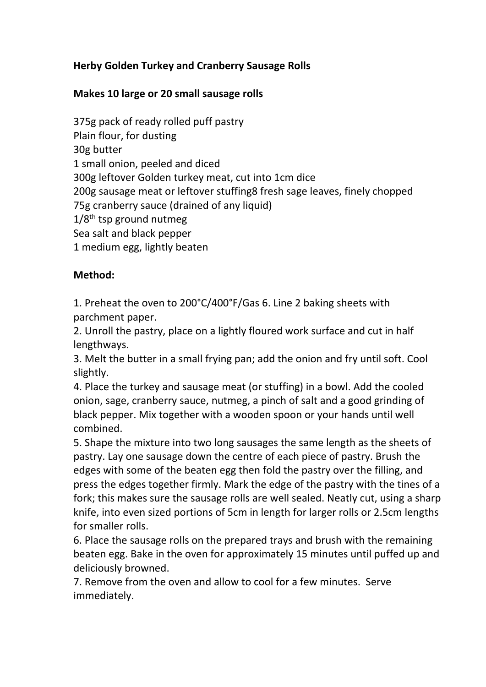## **Herby Golden Turkey and Cranberry Sausage Rolls**

## **Makes 10 large or 20 small sausage rolls**

375g pack of ready rolled puff pastry Plain flour, for dusting 30g butter 1 small onion, peeled and diced 300g leftover Golden turkey meat, cut into 1cm dice 200g sausage meat or leftover stuffing8 fresh sage leaves, finely chopped 75g cranberry sauce (drained of any liquid)  $1/8$ <sup>th</sup> tsp ground nutmeg Sea salt and black pepper 1 medium egg, lightly beaten

## **Method:**

1. Preheat the oven to 200°C/400°F/Gas 6. Line 2 baking sheets with parchment paper.

2. Unroll the pastry, place on a lightly floured work surface and cut in half lengthways.

3. Melt the butter in a small frying pan; add the onion and fry until soft. Cool slightly.

4. Place the turkey and sausage meat (or stuffing) in a bowl. Add the cooled onion, sage, cranberry sauce, nutmeg, a pinch of salt and a good grinding of black pepper. Mix together with a wooden spoon or your hands until well combined.

5. Shape the mixture into two long sausages the same length as the sheets of pastry. Lay one sausage down the centre of each piece of pastry. Brush the edges with some of the beaten egg then fold the pastry over the filling, and press the edges together firmly. Mark the edge of the pastry with the tines of a fork; this makes sure the sausage rolls are well sealed. Neatly cut, using a sharp knife, into even sized portions of 5cm in length for larger rolls or 2.5cm lengths for smaller rolls.

6. Place the sausage rolls on the prepared trays and brush with the remaining beaten egg. Bake in the oven for approximately 15 minutes until puffed up and deliciously browned.

7. Remove from the oven and allow to cool for a few minutes. Serve immediately.